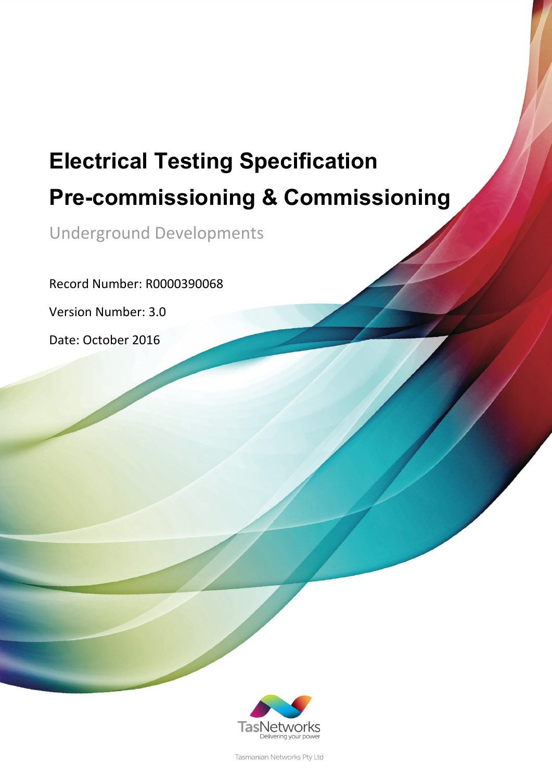# **Electrical Testing Specification Pre-commissioning & Commissioning**

Underground Developments

Record Number: R0000390068

Version Number: 3.0

Date: October 2016



Tasmanian Networks Pty Ltd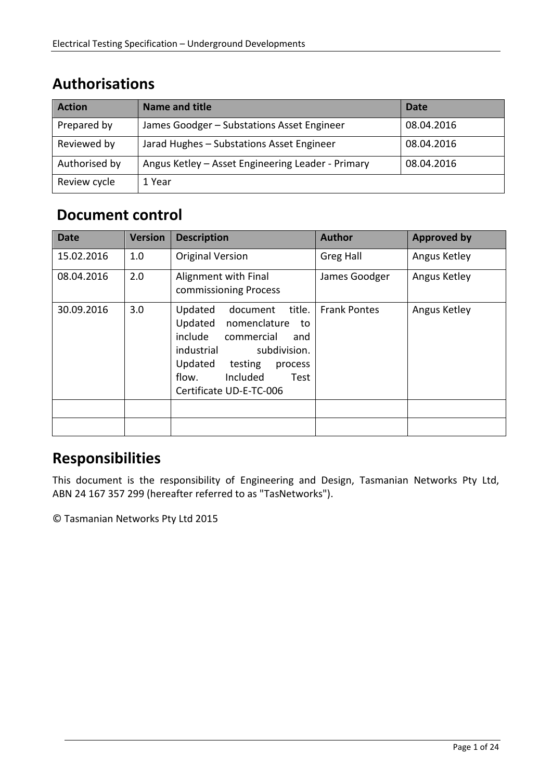### **Authorisations**

| <b>Action</b> | Name and title                                    | Date       |
|---------------|---------------------------------------------------|------------|
| Prepared by   | James Goodger - Substations Asset Engineer        | 08.04.2016 |
| Reviewed by   | Jarad Hughes - Substations Asset Engineer         | 08.04.2016 |
| Authorised by | Angus Ketley - Asset Engineering Leader - Primary | 08.04.2016 |
| Review cycle  | 1 Year                                            |            |

### **Document control**

| <b>Date</b> | <b>Version</b> | <b>Description</b>                                                                                                                                                                                                    | <b>Author</b>       | <b>Approved by</b> |
|-------------|----------------|-----------------------------------------------------------------------------------------------------------------------------------------------------------------------------------------------------------------------|---------------------|--------------------|
| 15.02.2016  | 1.0            | <b>Original Version</b>                                                                                                                                                                                               | Greg Hall           | Angus Ketley       |
| 08.04.2016  | 2.0            | Alignment with Final<br>commissioning Process                                                                                                                                                                         | James Goodger       | Angus Ketley       |
| 30.09.2016  | 3.0            | title.<br>Updated<br>document<br>Updated<br>nomenclature<br>to<br>include<br>commercial<br>and<br>industrial<br>subdivision.<br>Updated<br>testing<br>process<br>Included<br>flow.<br>Test<br>Certificate UD-E-TC-006 | <b>Frank Pontes</b> | Angus Ketley       |
|             |                |                                                                                                                                                                                                                       |                     |                    |
|             |                |                                                                                                                                                                                                                       |                     |                    |

### **Responsibilities**

This document is the responsibility of Engineering and Design, Tasmanian Networks Pty Ltd, ABN 24 167 357 299 (hereafter referred to as "TasNetworks").

© Tasmanian Networks Pty Ltd 2015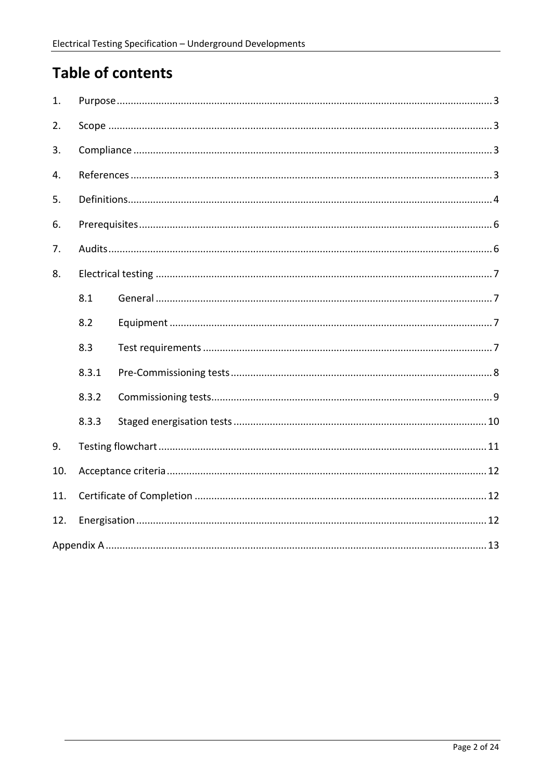# **Table of contents**

| 1.  |       |  |  |
|-----|-------|--|--|
| 2.  |       |  |  |
| 3.  |       |  |  |
| 4.  |       |  |  |
| 5.  |       |  |  |
| 6.  |       |  |  |
| 7.  |       |  |  |
| 8.  |       |  |  |
|     | 8.1   |  |  |
|     | 8.2   |  |  |
|     | 8.3   |  |  |
|     | 8.3.1 |  |  |
|     | 8.3.2 |  |  |
|     | 8.3.3 |  |  |
| 9.  |       |  |  |
| 10. |       |  |  |
| 11. |       |  |  |
| 12. |       |  |  |
|     |       |  |  |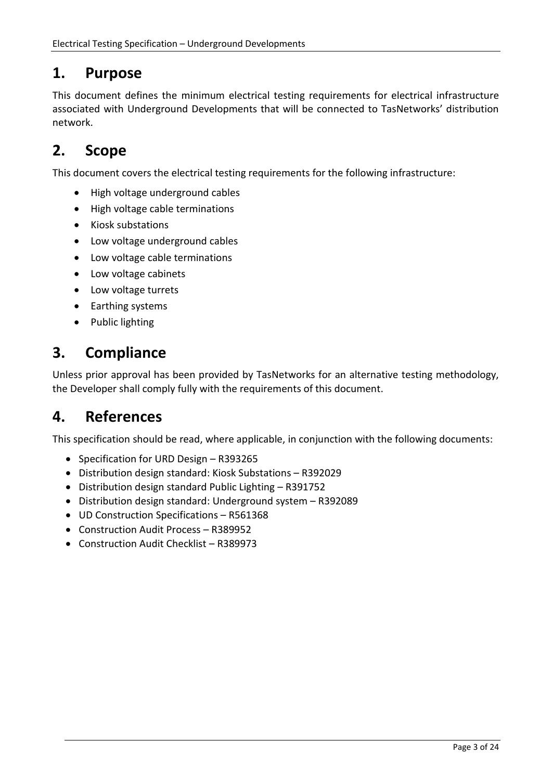### **1. Purpose**

This document defines the minimum electrical testing requirements for electrical infrastructure associated with Underground Developments that will be connected to TasNetworks' distribution network.

## **2. Scope**

This document covers the electrical testing requirements for the following infrastructure:

- High voltage underground cables
- High voltage cable terminations
- Kiosk substations
- Low voltage underground cables
- Low voltage cable terminations
- Low voltage cabinets
- Low voltage turrets
- Earthing systems
- Public lighting

### **3. Compliance**

Unless prior approval has been provided by TasNetworks for an alternative testing methodology, the Developer shall comply fully with the requirements of this document.

### **4. References**

This specification should be read, where applicable, in conjunction with the following documents:

- Specification for URD Design R393265
- Distribution design standard: Kiosk Substations R392029
- Distribution design standard Public Lighting R391752
- Distribution design standard: Underground system R392089
- UD Construction Specifications R561368
- Construction Audit Process R389952
- Construction Audit Checklist R389973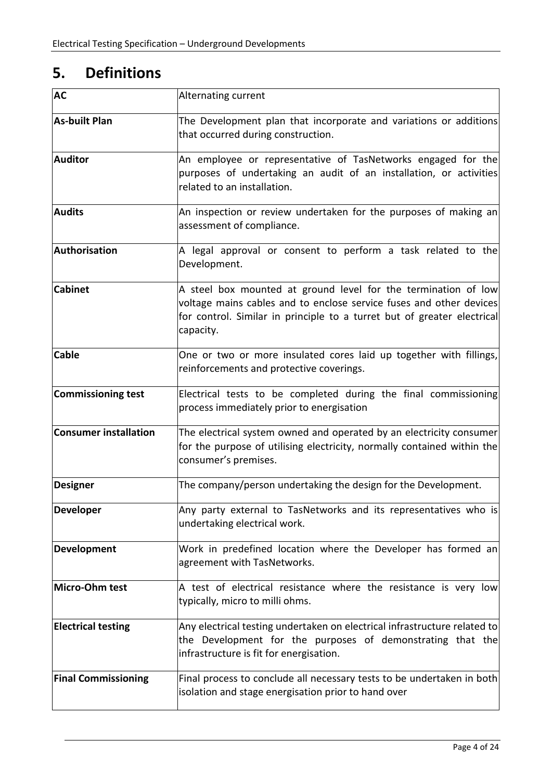# **5. Definitions**

| <b>AC</b>                    | Alternating current                                                                                                                                                                                                           |
|------------------------------|-------------------------------------------------------------------------------------------------------------------------------------------------------------------------------------------------------------------------------|
| <b>As-built Plan</b>         | The Development plan that incorporate and variations or additions<br>that occurred during construction.                                                                                                                       |
| <b>Auditor</b>               | An employee or representative of TasNetworks engaged for the<br>purposes of undertaking an audit of an installation, or activities<br>related to an installation.                                                             |
| <b>Audits</b>                | An inspection or review undertaken for the purposes of making an<br>assessment of compliance.                                                                                                                                 |
| Authorisation                | A legal approval or consent to perform a task related to the<br>Development.                                                                                                                                                  |
| <b>Cabinet</b>               | A steel box mounted at ground level for the termination of low<br>voltage mains cables and to enclose service fuses and other devices<br>for control. Similar in principle to a turret but of greater electrical<br>capacity. |
| <b>Cable</b>                 | One or two or more insulated cores laid up together with fillings,<br>reinforcements and protective coverings.                                                                                                                |
| <b>Commissioning test</b>    | Electrical tests to be completed during the final commissioning<br>process immediately prior to energisation                                                                                                                  |
| <b>Consumer installation</b> | The electrical system owned and operated by an electricity consumer<br>for the purpose of utilising electricity, normally contained within the<br>consumer's premises.                                                        |
| <b>Designer</b>              | The company/person undertaking the design for the Development.                                                                                                                                                                |
| <b>Developer</b>             | Any party external to TasNetworks and its representatives who is<br>undertaking electrical work.                                                                                                                              |
| Development                  | Work in predefined location where the Developer has formed an<br>agreement with TasNetworks.                                                                                                                                  |
| Micro-Ohm test               | A test of electrical resistance where the resistance is very low<br>typically, micro to milli ohms.                                                                                                                           |
| <b>Electrical testing</b>    | Any electrical testing undertaken on electrical infrastructure related to<br>the Development for the purposes of demonstrating that the<br>infrastructure is fit for energisation.                                            |
| <b>Final Commissioning</b>   | Final process to conclude all necessary tests to be undertaken in both<br>isolation and stage energisation prior to hand over                                                                                                 |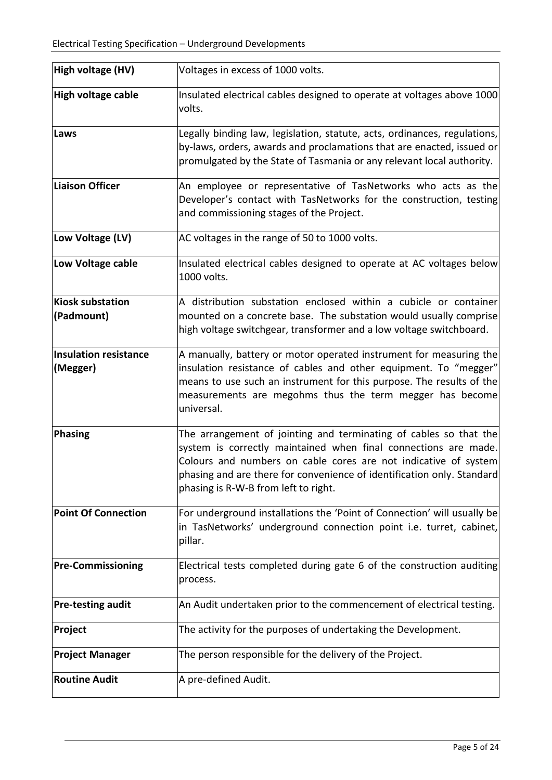| High voltage (HV)                        | Voltages in excess of 1000 volts.                                                                                                                                                                                                                                                                                         |
|------------------------------------------|---------------------------------------------------------------------------------------------------------------------------------------------------------------------------------------------------------------------------------------------------------------------------------------------------------------------------|
| High voltage cable                       | Insulated electrical cables designed to operate at voltages above 1000<br>volts.                                                                                                                                                                                                                                          |
| Laws                                     | Legally binding law, legislation, statute, acts, ordinances, regulations,<br>by-laws, orders, awards and proclamations that are enacted, issued or<br>promulgated by the State of Tasmania or any relevant local authority.                                                                                               |
| Liaison Officer                          | An employee or representative of TasNetworks who acts as the<br>Developer's contact with TasNetworks for the construction, testing<br>and commissioning stages of the Project.                                                                                                                                            |
| Low Voltage (LV)                         | AC voltages in the range of 50 to 1000 volts.                                                                                                                                                                                                                                                                             |
| Low Voltage cable                        | Insulated electrical cables designed to operate at AC voltages below<br>1000 volts.                                                                                                                                                                                                                                       |
| Kiosk substation<br>(Padmount)           | A distribution substation enclosed within a cubicle or container<br>mounted on a concrete base. The substation would usually comprise<br>high voltage switchgear, transformer and a low voltage switchboard.                                                                                                              |
| <b>Insulation resistance</b><br>(Megger) | A manually, battery or motor operated instrument for measuring the<br>insulation resistance of cables and other equipment. To "megger"<br>means to use such an instrument for this purpose. The results of the<br>measurements are megohms thus the term megger has become<br>universal.                                  |
| Phasing                                  | The arrangement of jointing and terminating of cables so that the<br>system is correctly maintained when final connections are made.<br>Colours and numbers on cable cores are not indicative of system<br>phasing and are there for convenience of identification only. Standard<br>phasing is R-W-B from left to right. |
| <b>Point Of Connection</b>               | For underground installations the 'Point of Connection' will usually be<br>in TasNetworks' underground connection point i.e. turret, cabinet,<br>pillar.                                                                                                                                                                  |
| <b>Pre-Commissioning</b>                 | Electrical tests completed during gate 6 of the construction auditing<br>process.                                                                                                                                                                                                                                         |
| <b>Pre-testing audit</b>                 | An Audit undertaken prior to the commencement of electrical testing.                                                                                                                                                                                                                                                      |
| Project                                  | The activity for the purposes of undertaking the Development.                                                                                                                                                                                                                                                             |
| <b>Project Manager</b>                   | The person responsible for the delivery of the Project.                                                                                                                                                                                                                                                                   |
| <b>Routine Audit</b>                     | A pre-defined Audit.                                                                                                                                                                                                                                                                                                      |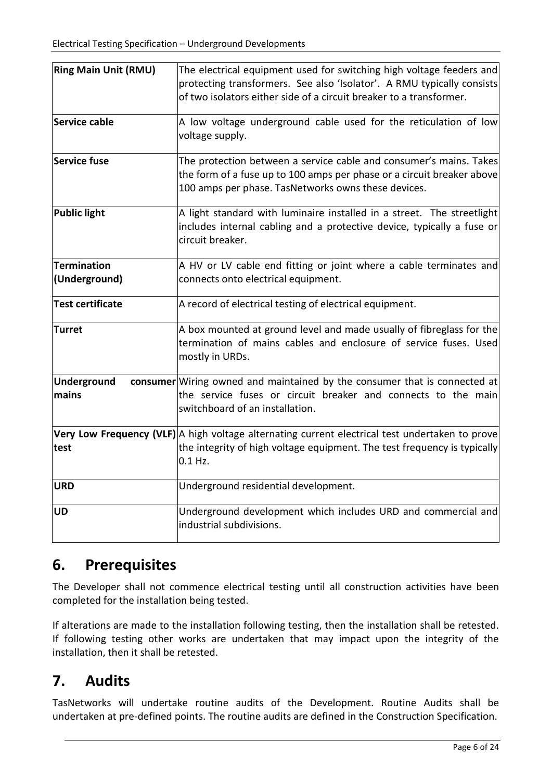| <b>Ring Main Unit (RMU)</b>         | The electrical equipment used for switching high voltage feeders and<br>protecting transformers. See also 'Isolator'. A RMU typically consists<br>of two isolators either side of a circuit breaker to a transformer. |
|-------------------------------------|-----------------------------------------------------------------------------------------------------------------------------------------------------------------------------------------------------------------------|
| Service cable                       | A low voltage underground cable used for the reticulation of low<br>voltage supply.                                                                                                                                   |
| Service fuse                        | The protection between a service cable and consumer's mains. Takes<br>the form of a fuse up to 100 amps per phase or a circuit breaker above<br>100 amps per phase. TasNetworks owns these devices.                   |
| <b>Public light</b>                 | A light standard with luminaire installed in a street. The streetlight<br>includes internal cabling and a protective device, typically a fuse or<br>circuit breaker.                                                  |
| <b>Termination</b><br>(Underground) | A HV or LV cable end fitting or joint where a cable terminates and<br>connects onto electrical equipment.                                                                                                             |
| <b>Test certificate</b>             | A record of electrical testing of electrical equipment.                                                                                                                                                               |
| Turret                              | A box mounted at ground level and made usually of fibreglass for the<br>termination of mains cables and enclosure of service fuses. Used<br>mostly in URDs.                                                           |
| Underground<br>mains                | consumer Wiring owned and maintained by the consumer that is connected at<br>the service fuses or circuit breaker and connects to the main<br>switchboard of an installation.                                         |
| test                                | Very Low Frequency (VLF) A high voltage alternating current electrical test undertaken to prove<br>the integrity of high voltage equipment. The test frequency is typically<br>$0.1$ Hz.                              |
| <b>URD</b>                          | Underground residential development.                                                                                                                                                                                  |
| <b>UD</b>                           | Underground development which includes URD and commercial and<br>industrial subdivisions.                                                                                                                             |

### **6. Prerequisites**

The Developer shall not commence electrical testing until all construction activities have been completed for the installation being tested.

If alterations are made to the installation following testing, then the installation shall be retested. If following testing other works are undertaken that may impact upon the integrity of the installation, then it shall be retested.

## **7. Audits**

TasNetworks will undertake routine audits of the Development. Routine Audits shall be undertaken at pre-defined points. The routine audits are defined in the Construction Specification.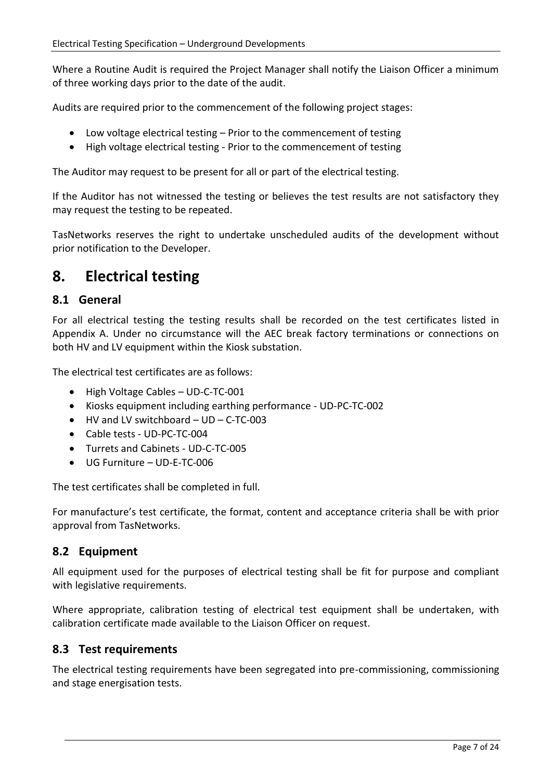Where a Routine Audit is required the Project Manager shall notify the Liaison Officer a minimum of three working days prior to the date of the audit.

Audits are required prior to the commencement of the following project stages:

- Low voltage electrical testing Prior to the commencement of testing
- High voltage electrical testing Prior to the commencement of testing

The Auditor may request to be present for all or part of the electrical testing.

If the Auditor has not witnessed the testing or believes the test results are not satisfactory they may request the testing to be repeated.

TasNetworks reserves the right to undertake unscheduled audits of the development without prior notification to the Developer.

### **8. Electrical testing**

### **8.1 General**

For all electrical testing the testing results shall be recorded on the test certificates listed in Appendix A. Under no circumstance will the AEC break factory terminations or connections on both HV and LV equipment within the Kiosk substation.

The electrical test certificates are as follows:

- High Voltage Cables UD-C-TC-001
- Kiosks equipment including earthing performance UD-PC-TC-002
- HV and LV switchboard UD C-TC-003
- Cable tests UD-PC-TC-004
- Turrets and Cabinets UD-C-TC-005
- UG Furniture UD-E-TC-006

The test certificates shall be completed in full.

For manufacture's test certificate, the format, content and acceptance criteria shall be with prior approval from TasNetworks.

### **8.2 Equipment**

All equipment used for the purposes of electrical testing shall be fit for purpose and compliant with legislative requirements.

Where appropriate, calibration testing of electrical test equipment shall be undertaken, with calibration certificate made available to the Liaison Officer on request.

### **8.3 Test requirements**

The electrical testing requirements have been segregated into pre-commissioning, commissioning and stage energisation tests.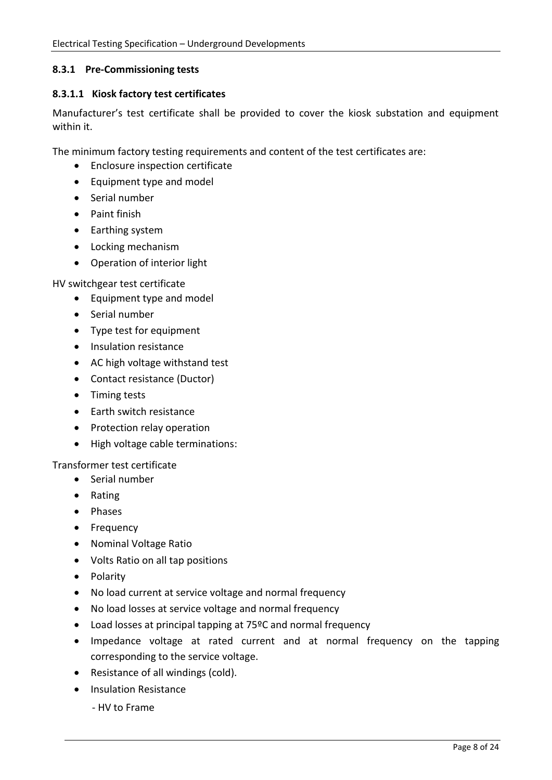#### **8.3.1 Pre-Commissioning tests**

#### **8.3.1.1 Kiosk factory test certificates**

Manufacturer's test certificate shall be provided to cover the kiosk substation and equipment within it.

The minimum factory testing requirements and content of the test certificates are:

- Enclosure inspection certificate
- Equipment type and model
- Serial number
- Paint finish
- Earthing system
- Locking mechanism
- Operation of interior light

HV switchgear test certificate

- Equipment type and model
- Serial number
- Type test for equipment
- Insulation resistance
- AC high voltage withstand test
- Contact resistance (Ductor)
- Timing tests
- Earth switch resistance
- Protection relay operation
- High voltage cable terminations:

#### Transformer test certificate

- Serial number
- Rating
- Phases
- Frequency
- Nominal Voltage Ratio
- Volts Ratio on all tap positions
- Polarity
- No load current at service voltage and normal frequency
- No load losses at service voltage and normal frequency
- Load losses at principal tapping at 75ºC and normal frequency
- Impedance voltage at rated current and at normal frequency on the tapping corresponding to the service voltage.
- Resistance of all windings (cold).
- Insulation Resistance
	- HV to Frame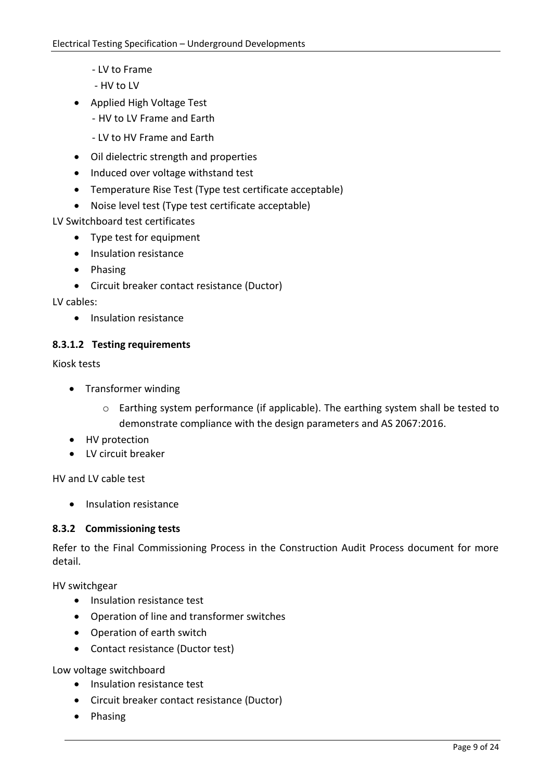- LV to Frame
- HV to LV
- Applied High Voltage Test
	- HV to LV Frame and Earth
	- LV to HV Frame and Earth
- Oil dielectric strength and properties
- Induced over voltage withstand test
- Temperature Rise Test (Type test certificate acceptable)
- Noise level test (Type test certificate acceptable)

LV Switchboard test certificates

- Type test for equipment
- Insulation resistance
- Phasing
- Circuit breaker contact resistance (Ductor)

LV cables:

• Insulation resistance

### **8.3.1.2 Testing requirements**

Kiosk tests

- Transformer winding
	- o Earthing system performance (if applicable). The earthing system shall be tested to demonstrate compliance with the design parameters and AS 2067:2016.
- HV protection
- LV circuit breaker

HV and LV cable test

• Insulation resistance

### **8.3.2 Commissioning tests**

Refer to the Final Commissioning Process in the Construction Audit Process document for more detail.

HV switchgear

- Insulation resistance test
- Operation of line and transformer switches
- Operation of earth switch
- Contact resistance (Ductor test)

Low voltage switchboard

- Insulation resistance test
- Circuit breaker contact resistance (Ductor)
- Phasing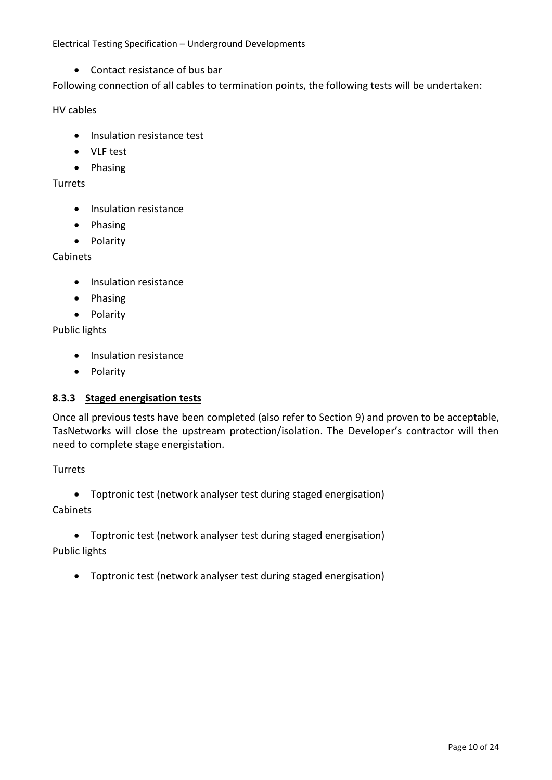Contact resistance of bus bar

Following connection of all cables to termination points, the following tests will be undertaken:

#### HV cables

- Insulation resistance test
- VLF test
- Phasing

#### Turrets

- Insulation resistance
- Phasing
- Polarity

#### Cabinets

- Insulation resistance
- Phasing
- Polarity

Public lights

- Insulation resistance
- Polarity

### **8.3.3 Staged energisation tests**

Once all previous tests have been completed (also refer to Section [9\)](#page-11-0) and proven to be acceptable, TasNetworks will close the upstream protection/isolation. The Developer's contractor will then need to complete stage energistation.

#### Turrets

Toptronic test (network analyser test during staged energisation)

### Cabinets

 Toptronic test (network analyser test during staged energisation) Public lights

# Toptronic test (network analyser test during staged energisation)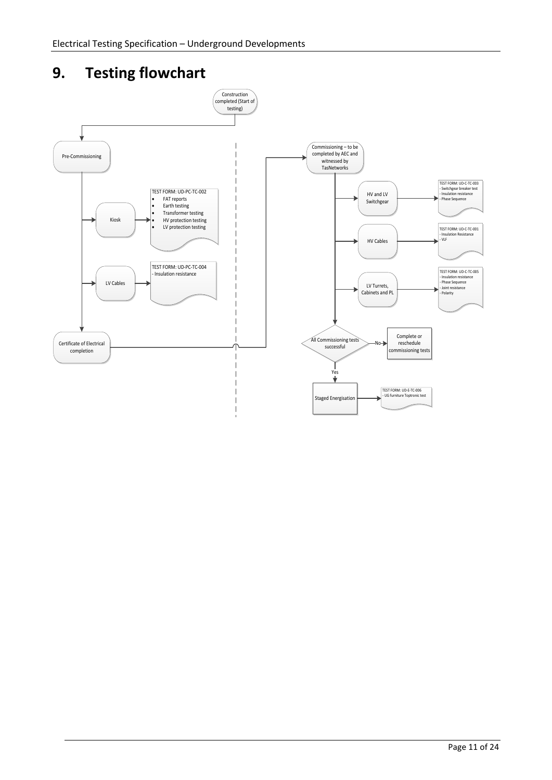# <span id="page-11-0"></span>**9. Testing flowchart**

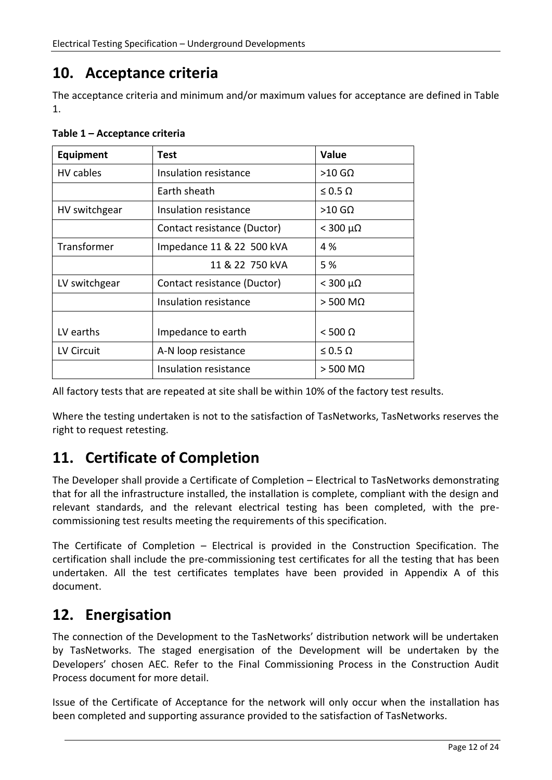### **10. Acceptance criteria**

The acceptance criteria and minimum and/or maximum values for acceptance are defined in Table 1.

| <b>Equipment</b> | Test                        | Value               |
|------------------|-----------------------------|---------------------|
| HV cables        | Insulation resistance       | $>10$ GQ            |
|                  | <b>Farth sheath</b>         | $\leq 0.5 \Omega$   |
| HV switchgear    | Insulation resistance       | $>10$ GQ            |
|                  | Contact resistance (Ductor) | $<$ 300 $\mu\Omega$ |
| Transformer      | Impedance 11 & 22 500 kVA   | 4 %                 |
|                  | 11 & 22 750 kVA             | 5 %                 |
| LV switchgear    | Contact resistance (Ductor) | $<$ 300 μΩ          |
|                  | Insulation resistance       | $>$ 500 M $\Omega$  |
|                  |                             |                     |
| LV earths        | Impedance to earth          | $<$ 500 $\Omega$    |
| LV Circuit       | A-N loop resistance         | $\leq 0.5 \Omega$   |
|                  | Insulation resistance       | $>$ 500 M $\Omega$  |

**Table 1 – Acceptance criteria**

All factory tests that are repeated at site shall be within 10% of the factory test results.

Where the testing undertaken is not to the satisfaction of TasNetworks, TasNetworks reserves the right to request retesting.

### **11. Certificate of Completion**

The Developer shall provide a Certificate of Completion – Electrical to TasNetworks demonstrating that for all the infrastructure installed, the installation is complete, compliant with the design and relevant standards, and the relevant electrical testing has been completed, with the precommissioning test results meeting the requirements of this specification.

The Certificate of Completion – Electrical is provided in the Construction Specification. The certification shall include the pre-commissioning test certificates for all the testing that has been undertaken. All the test certificates templates have been provided in Appendix A of this document.

### **12. Energisation**

The connection of the Development to the TasNetworks' distribution network will be undertaken by TasNetworks. The staged energisation of the Development will be undertaken by the Developers' chosen AEC. Refer to the Final Commissioning Process in the Construction Audit Process document for more detail.

Issue of the Certificate of Acceptance for the network will only occur when the installation has been completed and supporting assurance provided to the satisfaction of TasNetworks.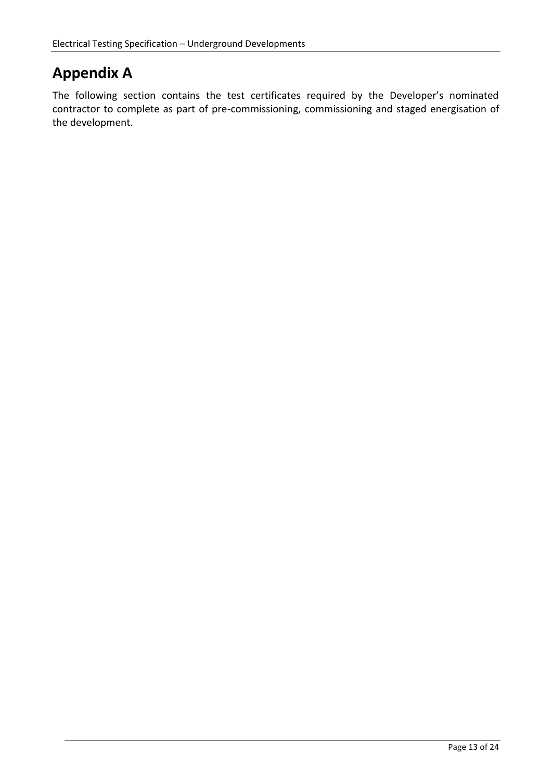### **Appendix A**

The following section contains the test certificates required by the Developer's nominated contractor to complete as part of pre-commissioning, commissioning and staged energisation of the development.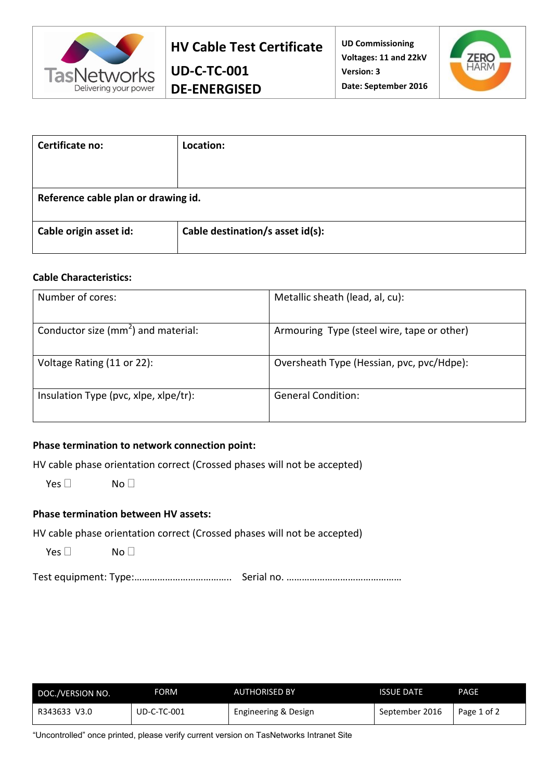

**UD-C-TC-001 DE-ENERGISED**



| Certificate no:                     | Location:                        |  |
|-------------------------------------|----------------------------------|--|
|                                     |                                  |  |
|                                     |                                  |  |
| Reference cable plan or drawing id. |                                  |  |
|                                     |                                  |  |
| Cable origin asset id:              | Cable destination/s asset id(s): |  |
|                                     |                                  |  |

#### **Cable Characteristics:**

| Number of cores:                       | Metallic sheath (lead, al, cu):            |
|----------------------------------------|--------------------------------------------|
| Conductor size ( $mm2$ ) and material: | Armouring Type (steel wire, tape or other) |
| Voltage Rating (11 or 22):             | Oversheath Type (Hessian, pvc, pvc/Hdpe):  |
| Insulation Type (pvc, xlpe, xlpe/tr):  | <b>General Condition:</b>                  |

### **Phase termination to network connection point:**

HV cable phase orientation correct (Crossed phases will not be accepted)

 $Yes \Box$  No  $\Box$ 

### **Phase termination between HV assets:**

HV cable phase orientation correct (Crossed phases will not be accepted)

Yes  $\Box$  No  $\Box$ 

Test equipment: Type:……………………………….. Serial no. ………………………………………

| DOC./VERSION NO. | FORM          | <b>AUTHORISED BY</b> | <b>ISSUE DATE</b> | PAGE        |
|------------------|---------------|----------------------|-------------------|-------------|
| R343633 V3.0     | $UD-C-TC-001$ | Engineering & Design | September 2016    | Page 1 of 2 |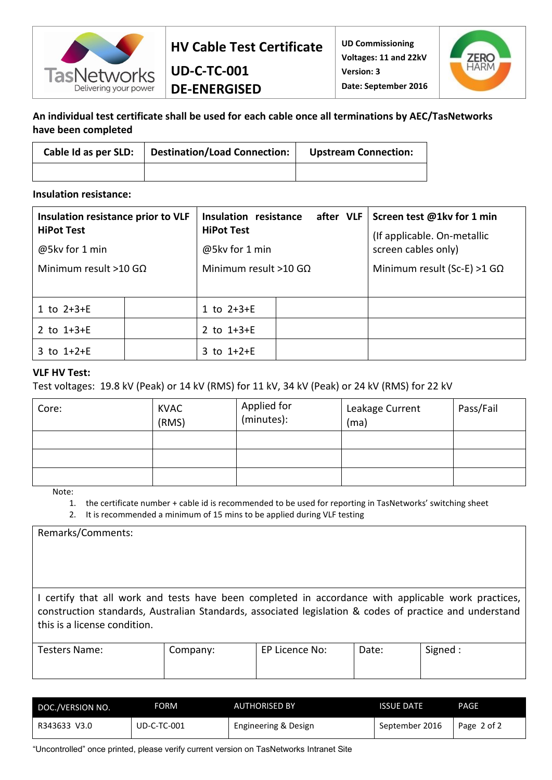

**UD Commissioning Voltages: 11 and 22kV Version: 3 Date: September 2016**



### **An individual test certificate shall be used for each cable once all terminations by AEC/TasNetworks have been completed**

| Cable Id as per SLD: | Destination/Load Connection: | <b>Upstream Connection:</b> |
|----------------------|------------------------------|-----------------------------|
|                      |                              |                             |

**UD-C-TC-001 DE-ENERGISED**

#### **Insulation resistance:**

| Insulation resistance prior to VLF  | Insulation resistance<br>after VLF  |  | Screen test @1kv for 1 min                         |
|-------------------------------------|-------------------------------------|--|----------------------------------------------------|
| <b>HiPot Test</b><br>@5kv for 1 min | <b>HiPot Test</b><br>@5kv for 1 min |  | (If applicable. On-metallic<br>screen cables only) |
| Minimum result >10 G $\Omega$       | Minimum result >10 G $\Omega$       |  | Minimum result (Sc-E) >1 G $\Omega$                |
|                                     |                                     |  |                                                    |
| 1 to $2+3+E$                        | 1 to $2+3+E$                        |  |                                                    |
| 2 to $1+3+E$                        | 2 to $1+3+E$                        |  |                                                    |
| 3 to $1+2+E$                        | 3 to $1+2+E$                        |  |                                                    |

#### **VLF HV Test:**

Test voltages: 19.8 kV (Peak) or 14 kV (RMS) for 11 kV, 34 kV (Peak) or 24 kV (RMS) for 22 kV

| Core: | <b>KVAC</b><br>(RMS) | Applied for<br>(minutes): | Leakage Current<br>(ma) | Pass/Fail |
|-------|----------------------|---------------------------|-------------------------|-----------|
|       |                      |                           |                         |           |
|       |                      |                           |                         |           |
|       |                      |                           |                         |           |

Note:

1. the certificate number + cable id is recommended to be used for reporting in TasNetworks' switching sheet

2. It is recommended a minimum of 15 mins to be applied during VLF testing

Remarks/Comments:

I certify that all work and tests have been completed in accordance with applicable work practices, construction standards, Australian Standards, associated legislation & codes of practice and understand this is a license condition.

| Testers Name: | Company: | EP Licence No: | Date: | Signed : |
|---------------|----------|----------------|-------|----------|
|               |          |                |       |          |

| DOC./VERSION NO. | FORM          | <b>AUTHORISED BY</b> | <b>ISSUE DATE</b> | PAGE        |
|------------------|---------------|----------------------|-------------------|-------------|
| R343633 V3.0     | $UD-C-TC-001$ | Engineering & Design | September 2016    | Page 2 of 2 |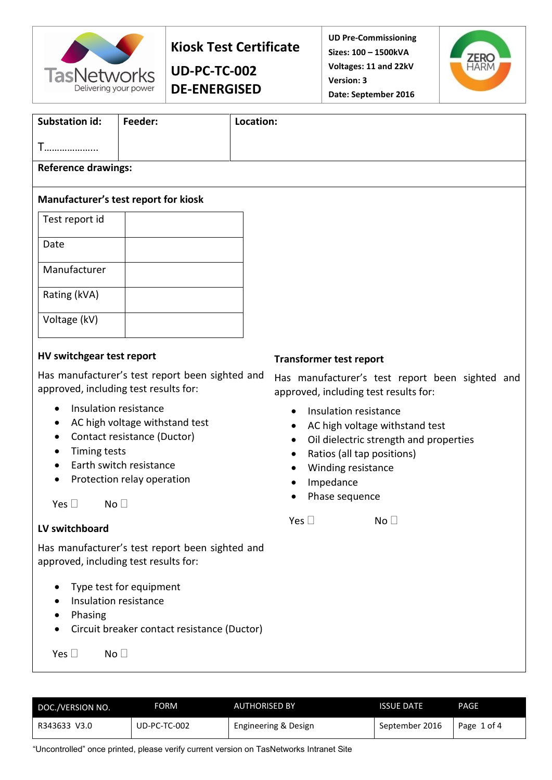

### **Kiosk Test Certificate**

**UD-PC-TC-002 DE-ENERGISED** **UD Pre-Commissioning Sizes: 100 – 1500kVA Voltages: 11 and 22kV Version: 3 Date: September 2016**



| Substation id:                       | Feeder: | Location: |  |
|--------------------------------------|---------|-----------|--|
| T<br>.                               |         |           |  |
| <b>Reference drawings:</b>           |         |           |  |
| Manufacturer's test report for kiosk |         |           |  |
| Test report id                       |         |           |  |
| Date                                 |         |           |  |
| Manufacturer                         |         |           |  |
| Rating (kVA)                         |         |           |  |
| Voltage (kV)                         |         |           |  |
|                                      |         |           |  |

### **HV switchgear test report**

Has manufacturer's test report been sighted and approved, including test results for:

- Insulation resistance
- AC high voltage withstand test
- Contact resistance (Ductor)
- Timing tests
- Earth switch resistance
- Protection relay operation

 $Yes \Box$  No  $\Box$ 

### **LV switchboard**

Has manufacturer's test report been sighted and approved, including test results for:

- Type test for equipment
- Insulation resistance
- Phasing
- Circuit breaker contact resistance (Ductor)

 $Yes \Box$  No  $\Box$ 

#### **Transformer test report**

Has manufacturer's test report been sighted and approved, including test results for:

- Insulation resistance
- AC high voltage withstand test
- Oil dielectric strength and properties
- Ratios (all tap positions)
- Winding resistance
- Impedance
- Phase sequence

 $Yes \Box$   $No \Box$ 

| DOC./VERSION NO. | FORM         | <b>AUTHORISED BY</b> | <b>ISSUE DATE</b> | PAGE        |
|------------------|--------------|----------------------|-------------------|-------------|
| R343633 V3.0     | UD-PC-TC-002 | Engineering & Design | September 2016    | Page 1 of 4 |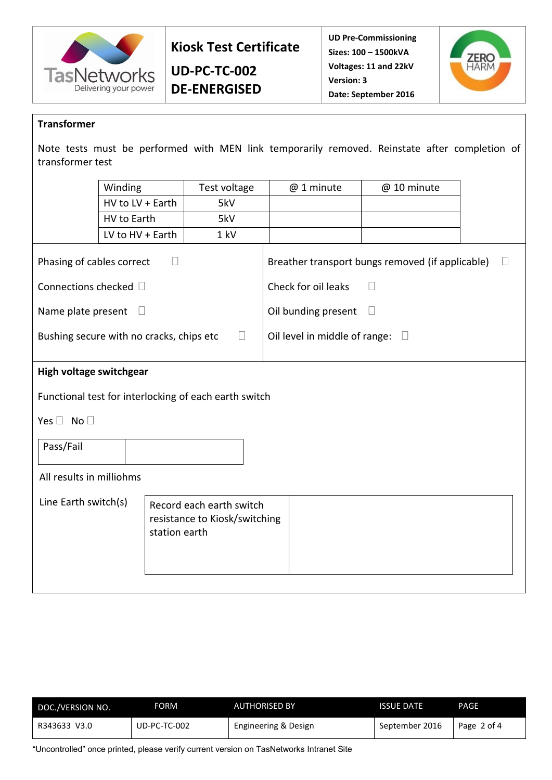

**Kiosk Test Certificate**

**UD-PC-TC-002 DE-ENERGISED** **UD Pre-Commissioning Sizes: 100 – 1500kVA Voltages: 11 and 22kV Version: 3 Date: September 2016**



#### **Transformer**

Note tests must be performed with MEN link temporarily removed. Reinstate after completion of transformer test

|                                                               | Winding                                               | Test voltage                                              | @ 1 minute                    | @ 10 minute                                      |   |
|---------------------------------------------------------------|-------------------------------------------------------|-----------------------------------------------------------|-------------------------------|--------------------------------------------------|---|
|                                                               | HV to LV + Earth                                      | 5kV                                                       |                               |                                                  |   |
|                                                               | HV to Earth                                           | 5kV                                                       |                               |                                                  |   |
|                                                               | LV to HV + Earth                                      | 1 kV                                                      |                               |                                                  |   |
| Phasing of cables correct                                     | $\Box$                                                |                                                           |                               | Breather transport bungs removed (if applicable) | П |
| Connections checked □                                         |                                                       |                                                           | Check for oil leaks           | П                                                |   |
| Name plate present<br>Oil bunding present<br>$\Box$<br>$\Box$ |                                                       |                                                           |                               |                                                  |   |
|                                                               | Bushing secure with no cracks, chips etc              | $\Box$                                                    | Oil level in middle of range: | $\Box$                                           |   |
|                                                               |                                                       |                                                           |                               |                                                  |   |
| High voltage switchgear                                       |                                                       |                                                           |                               |                                                  |   |
|                                                               | Functional test for interlocking of each earth switch |                                                           |                               |                                                  |   |
| Yes $\Box$ No $\Box$                                          |                                                       |                                                           |                               |                                                  |   |
| Pass/Fail                                                     |                                                       |                                                           |                               |                                                  |   |
| All results in milliohms                                      |                                                       |                                                           |                               |                                                  |   |
| Line Earth switch(s)                                          | station earth                                         | Record each earth switch<br>resistance to Kiosk/switching |                               |                                                  |   |

| DOC./VERSION NO. | FORM         | <b>AUTHORISED BY</b> | <b>ISSUE DATE</b> | <b>PAGE</b> |
|------------------|--------------|----------------------|-------------------|-------------|
| R343633 V3.0     | UD-PC-TC-002 | Engineering & Design | September 2016    | Page 2 of 4 |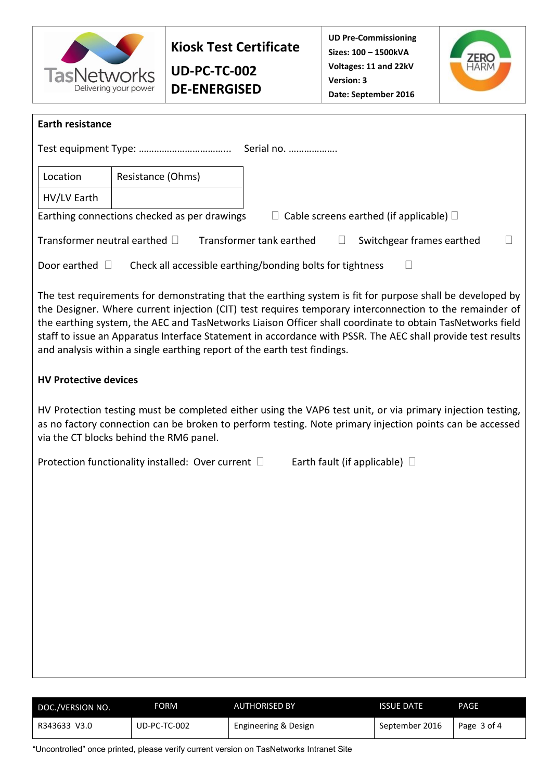

**UD-PC-TC-002 DE-ENERGISED** **UD Pre-Commissioning Sizes: 100 – 1500kVA Voltages: 11 and 22kV Version: 3 Date: September 2016**



| <b>Earth resistance</b>            |                                                                          |                                                                                                                                                                                                                                                                                                                                                                                                                                                  |
|------------------------------------|--------------------------------------------------------------------------|--------------------------------------------------------------------------------------------------------------------------------------------------------------------------------------------------------------------------------------------------------------------------------------------------------------------------------------------------------------------------------------------------------------------------------------------------|
|                                    |                                                                          | Serial no.                                                                                                                                                                                                                                                                                                                                                                                                                                       |
| Location                           | Resistance (Ohms)                                                        |                                                                                                                                                                                                                                                                                                                                                                                                                                                  |
| HV/LV Earth                        |                                                                          |                                                                                                                                                                                                                                                                                                                                                                                                                                                  |
|                                    | Earthing connections checked as per drawings                             | $\Box$ Cable screens earthed (if applicable) $\Box$                                                                                                                                                                                                                                                                                                                                                                                              |
| Transformer neutral earthed $\Box$ | Transformer tank earthed                                                 | Switchgear frames earthed<br>$\Box$                                                                                                                                                                                                                                                                                                                                                                                                              |
| Door earthed $\Box$                | Check all accessible earthing/bonding bolts for tightness                |                                                                                                                                                                                                                                                                                                                                                                                                                                                  |
|                                    | and analysis within a single earthing report of the earth test findings. | The test requirements for demonstrating that the earthing system is fit for purpose shall be developed by<br>the Designer. Where current injection (CIT) test requires temporary interconnection to the remainder of<br>the earthing system, the AEC and TasNetworks Liaison Officer shall coordinate to obtain TasNetworks field<br>staff to issue an Apparatus Interface Statement in accordance with PSSR. The AEC shall provide test results |
| <b>HV Protective devices</b>       |                                                                          |                                                                                                                                                                                                                                                                                                                                                                                                                                                  |
|                                    | via the CT blocks behind the RM6 panel.                                  | HV Protection testing must be completed either using the VAP6 test unit, or via primary injection testing,<br>as no factory connection can be broken to perform testing. Note primary injection points can be accessed                                                                                                                                                                                                                           |
|                                    | Protection functionality installed: Over current □                       | Earth fault (if applicable) $\Box$                                                                                                                                                                                                                                                                                                                                                                                                               |
|                                    |                                                                          |                                                                                                                                                                                                                                                                                                                                                                                                                                                  |
|                                    |                                                                          |                                                                                                                                                                                                                                                                                                                                                                                                                                                  |
|                                    |                                                                          |                                                                                                                                                                                                                                                                                                                                                                                                                                                  |
|                                    |                                                                          |                                                                                                                                                                                                                                                                                                                                                                                                                                                  |
|                                    |                                                                          |                                                                                                                                                                                                                                                                                                                                                                                                                                                  |
|                                    |                                                                          |                                                                                                                                                                                                                                                                                                                                                                                                                                                  |
|                                    |                                                                          |                                                                                                                                                                                                                                                                                                                                                                                                                                                  |
|                                    |                                                                          |                                                                                                                                                                                                                                                                                                                                                                                                                                                  |

| DOC./VERSION NO. | FORM           | <b>AUTHORISED BY</b> | <b>ISSUE DATE</b> | PAGE        |
|------------------|----------------|----------------------|-------------------|-------------|
| R343633 V3.0     | $UD-PC-TC-002$ | Engineering & Design | September 2016    | Page 3 of 4 |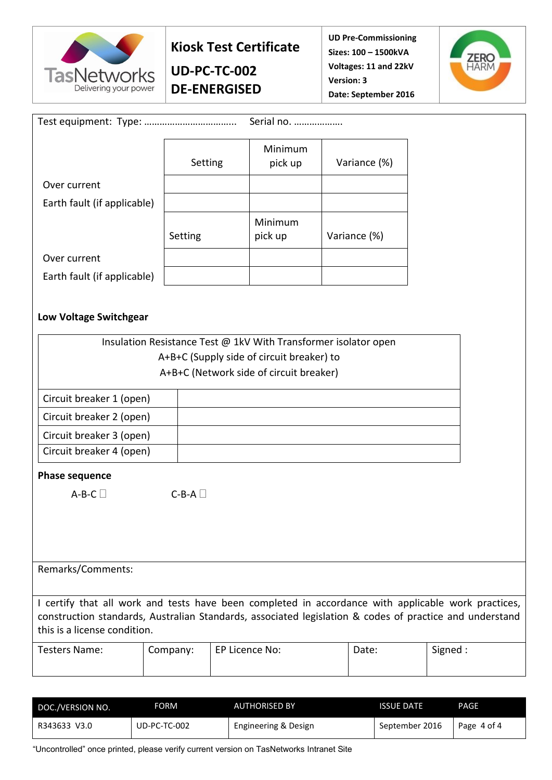

### **Kiosk Test Certificate**

**UD-PC-TC-002 DE-ENERGISED** **UD Pre-Commissioning Sizes: 100 – 1500kVA Voltages: 11 and 22kV Version: 3 Date: September 2016**



|                                                                                                         |          | Serial no.                                                      |              |         |
|---------------------------------------------------------------------------------------------------------|----------|-----------------------------------------------------------------|--------------|---------|
|                                                                                                         | Setting  | Minimum<br>pick up                                              | Variance (%) |         |
| Over current                                                                                            |          |                                                                 |              |         |
| Earth fault (if applicable)                                                                             |          |                                                                 |              |         |
|                                                                                                         | Setting  | Minimum<br>pick up                                              | Variance (%) |         |
| Over current                                                                                            |          |                                                                 |              |         |
| Earth fault (if applicable)                                                                             |          |                                                                 |              |         |
|                                                                                                         |          |                                                                 |              |         |
| Low Voltage Switchgear                                                                                  |          |                                                                 |              |         |
|                                                                                                         |          | Insulation Resistance Test @ 1kV With Transformer isolator open |              |         |
|                                                                                                         |          | A+B+C (Supply side of circuit breaker) to                       |              |         |
|                                                                                                         |          | A+B+C (Network side of circuit breaker)                         |              |         |
| Circuit breaker 1 (open)                                                                                |          |                                                                 |              |         |
| Circuit breaker 2 (open)                                                                                |          |                                                                 |              |         |
| Circuit breaker 3 (open)                                                                                |          |                                                                 |              |         |
| Circuit breaker 4 (open)                                                                                |          |                                                                 |              |         |
| <b>Phase sequence</b>                                                                                   |          |                                                                 |              |         |
| $A-B-C$                                                                                                 | $C-B-A$  |                                                                 |              |         |
|                                                                                                         |          |                                                                 |              |         |
|                                                                                                         |          |                                                                 |              |         |
|                                                                                                         |          |                                                                 |              |         |
| Remarks/Comments:                                                                                       |          |                                                                 |              |         |
| I certify that all work and tests have been completed in accordance with applicable work practices,     |          |                                                                 |              |         |
| construction standards, Australian Standards, associated legislation & codes of practice and understand |          |                                                                 |              |         |
| this is a license condition.                                                                            |          |                                                                 |              |         |
| <b>Testers Name:</b>                                                                                    | Company: | EP Licence No:                                                  | Date:        | Signed: |
|                                                                                                         |          |                                                                 |              |         |

| DOC./VERSION NO. | FORM           | <b>AUTHORISED BY</b> | <b>ISSUE DATE</b> | PAGE        |
|------------------|----------------|----------------------|-------------------|-------------|
| R343633 V3.0     | $UD-PC-TC-002$ | Engineering & Design | September 2016    | Page 4 of 4 |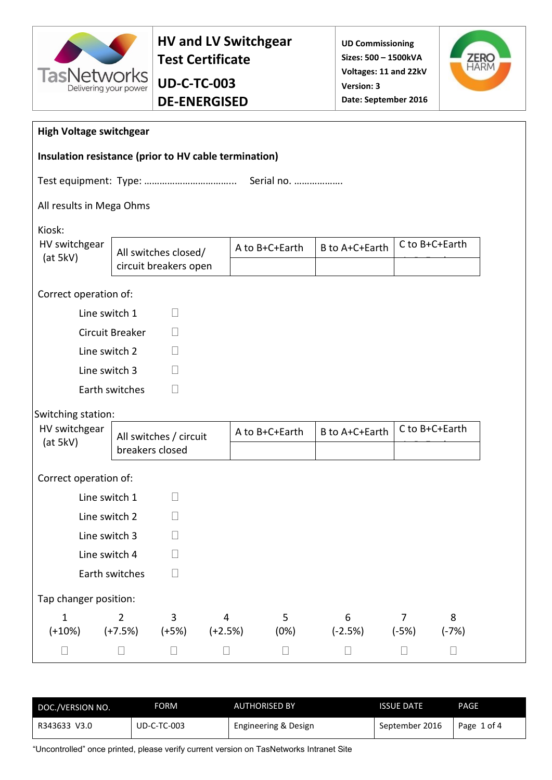

### **HV and LV Switchgear Test Certificate**

### **Sizes: 500 – 1500kVA Voltages: 11 and 22kV Version: 3 Date: September 2016**

**UD Commissioning** 



| <b>High Voltage switchgear</b>                        |                             |                        |                             |                |                |                           |                |
|-------------------------------------------------------|-----------------------------|------------------------|-----------------------------|----------------|----------------|---------------------------|----------------|
| Insulation resistance (prior to HV cable termination) |                             |                        |                             |                |                |                           |                |
|                                                       |                             |                        |                             | Serial no.     |                |                           |                |
| All results in Mega Ohms                              |                             |                        |                             |                |                |                           |                |
| Kiosk:                                                |                             |                        |                             |                |                |                           |                |
| HV switchgear<br>(at 5kV)                             |                             | All switches closed/   |                             | A to B+C+Earth | B to A+C+Earth |                           | C to B+C+Earth |
|                                                       |                             | circuit breakers open  |                             |                |                |                           |                |
| Correct operation of:                                 |                             |                        |                             |                |                |                           |                |
| Line switch 1                                         |                             | $\Box$                 |                             |                |                |                           |                |
|                                                       | Circuit Breaker             | $\Box$                 |                             |                |                |                           |                |
| Line switch 2                                         |                             | П                      |                             |                |                |                           |                |
| Line switch 3                                         |                             | П                      |                             |                |                |                           |                |
|                                                       | Earth switches              | П                      |                             |                |                |                           |                |
| Switching station:                                    |                             |                        |                             |                |                |                           |                |
| HV switchgear                                         |                             | All switches / circuit |                             | A to B+C+Earth | B to A+C+Earth |                           | C to B+C+Earth |
| (at 5kV)                                              | breakers closed             |                        |                             |                |                |                           |                |
| Correct operation of:                                 |                             |                        |                             |                |                |                           |                |
| Line switch 1                                         |                             | $\Box$                 |                             |                |                |                           |                |
| Line switch 2                                         |                             | $\Box$                 |                             |                |                |                           |                |
| Line switch 3                                         |                             | $\mathbf{I}$           |                             |                |                |                           |                |
| Line switch 4                                         |                             | $\Box$                 |                             |                |                |                           |                |
|                                                       | Earth switches              | $\Box$                 |                             |                |                |                           |                |
| Tap changer position:                                 |                             |                        |                             |                |                |                           |                |
| $\mathbf{1}$<br>$(+10%)$                              | $\overline{2}$<br>$(+7.5%)$ | 3<br>$(+5%)$           | $\overline{4}$<br>$(+2.5%)$ | 5<br>(0%)      | 6<br>$(-2.5%)$ | $\overline{7}$<br>$(-5%)$ | 8<br>$(-7%)$   |
| $\Box$                                                | П                           | $\Box$                 | $\Box$                      | $\Box$         | $\Box$         | $\Box$                    | $\Box$         |

| DOC./VERSION NO. | FORM               | <b>AUTHORISED BY</b> | <b>ISSUE DATE</b> | PAGE        |
|------------------|--------------------|----------------------|-------------------|-------------|
| R343633 V3.0     | <b>UD-C-TC-003</b> | Engineering & Design | September 2016    | Page 1 of 4 |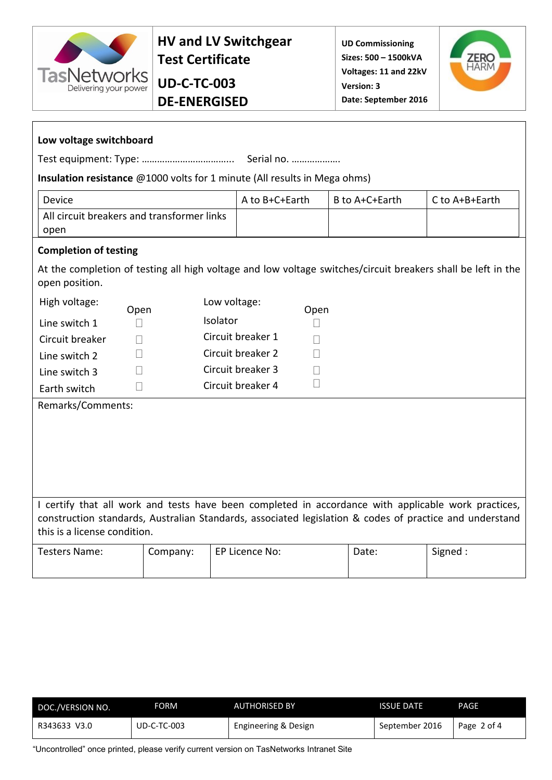

### **UD-C-TC-003 DE-ENERGISED**



| Low voltage switchboard                                                                                                                                                                                        |          |          |                   |                   |  |                |                         |  |  |
|----------------------------------------------------------------------------------------------------------------------------------------------------------------------------------------------------------------|----------|----------|-------------------|-------------------|--|----------------|-------------------------|--|--|
|                                                                                                                                                                                                                |          |          |                   |                   |  |                |                         |  |  |
| Insulation resistance @1000 volts for 1 minute (All results in Mega ohms)                                                                                                                                      |          |          |                   |                   |  |                |                         |  |  |
| <b>Device</b>                                                                                                                                                                                                  |          |          | A to B+C+Earth    |                   |  | B to A+C+Earth | $C$ to $A + B + E$ arth |  |  |
| All circuit breakers and transformer links<br>open                                                                                                                                                             |          |          |                   |                   |  |                |                         |  |  |
| <b>Completion of testing</b>                                                                                                                                                                                   |          |          |                   |                   |  |                |                         |  |  |
| At the completion of testing all high voltage and low voltage switches/circuit breakers shall be left in the<br>open position.                                                                                 |          |          |                   |                   |  |                |                         |  |  |
| High voltage:<br>Open                                                                                                                                                                                          |          |          | Low voltage:      | Open              |  |                |                         |  |  |
| Line switch 1<br>$\vert \ \ \vert$                                                                                                                                                                             |          | Isolator |                   | $\Box$            |  |                |                         |  |  |
| Circuit breaker<br>$\Box$                                                                                                                                                                                      |          |          | Circuit breaker 1 | $\vert \ \ \vert$ |  |                |                         |  |  |
| $\vert \ \ \vert$<br>Line switch 2                                                                                                                                                                             |          |          | Circuit breaker 2 | $\Box$            |  |                |                         |  |  |
| $\vert \ \ \vert$<br>Line switch 3                                                                                                                                                                             |          |          | Circuit breaker 3 | $\mathbf{I}$      |  |                |                         |  |  |
| $\Box$<br>Earth switch                                                                                                                                                                                         |          |          | Circuit breaker 4 | $\mathbf{I}$      |  |                |                         |  |  |
| Remarks/Comments:                                                                                                                                                                                              |          |          |                   |                   |  |                |                         |  |  |
|                                                                                                                                                                                                                |          |          |                   |                   |  |                |                         |  |  |
|                                                                                                                                                                                                                |          |          |                   |                   |  |                |                         |  |  |
|                                                                                                                                                                                                                |          |          |                   |                   |  |                |                         |  |  |
|                                                                                                                                                                                                                |          |          |                   |                   |  |                |                         |  |  |
|                                                                                                                                                                                                                |          |          |                   |                   |  |                |                         |  |  |
| I certify that all work and tests have been completed in accordance with applicable work practices,<br>construction standards, Australian Standards, associated legislation & codes of practice and understand |          |          |                   |                   |  |                |                         |  |  |
| this is a license condition.                                                                                                                                                                                   |          |          |                   |                   |  |                |                         |  |  |
| <b>Testers Name:</b>                                                                                                                                                                                           | Company: |          | EP Licence No:    |                   |  | Date:          | Signed:                 |  |  |
|                                                                                                                                                                                                                |          |          |                   |                   |  |                |                         |  |  |

| DOC./VERSION NO. | FORM               | <b>AUTHORISED BY</b> | <b>ISSUE DATE</b> | PAGE        |
|------------------|--------------------|----------------------|-------------------|-------------|
| R343633 V3.0     | <b>UD-C-TC-003</b> | Engineering & Design | September 2016    | Page 2 of 4 |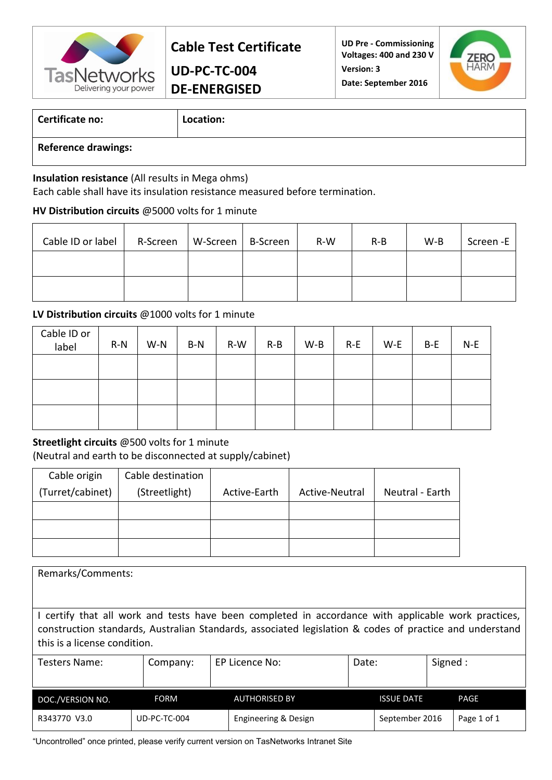

**UD-PC-TC-004 DE-ENERGISED**

**UD Pre - Commissioning Voltages: 400 and 230 V Version: 3 Date: September 2016**



### **Certificate no: Location:**

**Reference drawings:**

#### **Insulation resistance** (All results in Mega ohms)

Each cable shall have its insulation resistance measured before termination.

### **HV Distribution circuits** @5000 volts for 1 minute

| Cable ID or label | R-Screen | W-Screen | B-Screen | $R-W$ | $R-B$ | $W-B$ | Screen -E |
|-------------------|----------|----------|----------|-------|-------|-------|-----------|
|                   |          |          |          |       |       |       |           |
|                   |          |          |          |       |       |       |           |

### **LV Distribution circuits** @1000 volts for 1 minute

| Cable ID or<br>label | $R-N$ | $W-N$ | $B-N$ | $R-W$ | $R-B$ | $W-B$ | $R-E$ | W-E | B-E | N-E |
|----------------------|-------|-------|-------|-------|-------|-------|-------|-----|-----|-----|
|                      |       |       |       |       |       |       |       |     |     |     |
|                      |       |       |       |       |       |       |       |     |     |     |
|                      |       |       |       |       |       |       |       |     |     |     |

### **Streetlight circuits** @500 volts for 1 minute

(Neutral and earth to be disconnected at supply/cabinet)

| Cable origin     | Cable destination |              |                |                 |
|------------------|-------------------|--------------|----------------|-----------------|
| (Turret/cabinet) | (Streetlight)     | Active-Earth | Active-Neutral | Neutral - Earth |
|                  |                   |              |                |                 |
|                  |                   |              |                |                 |
|                  |                   |              |                |                 |

| Remarks/Comments:                                                                                                                                                                                                                                                                                                  |              |                      |                   |  |             |  |  |  |  |
|--------------------------------------------------------------------------------------------------------------------------------------------------------------------------------------------------------------------------------------------------------------------------------------------------------------------|--------------|----------------------|-------------------|--|-------------|--|--|--|--|
| I certify that all work and tests have been completed in accordance with applicable work practices,<br>construction standards, Australian Standards, associated legislation & codes of practice and understand<br>this is a license condition.<br>Signed :<br>Testers Name:<br>EP Licence No:<br>Date:<br>Company: |              |                      |                   |  |             |  |  |  |  |
|                                                                                                                                                                                                                                                                                                                    |              |                      |                   |  |             |  |  |  |  |
| DOC./VERSION NO.                                                                                                                                                                                                                                                                                                   | <b>FORM</b>  | <b>AUTHORISED BY</b> | <b>ISSUE DATE</b> |  | <b>PAGE</b> |  |  |  |  |
| R343770 V3.0                                                                                                                                                                                                                                                                                                       | UD-PC-TC-004 | Engineering & Design | September 2016    |  | Page 1 of 1 |  |  |  |  |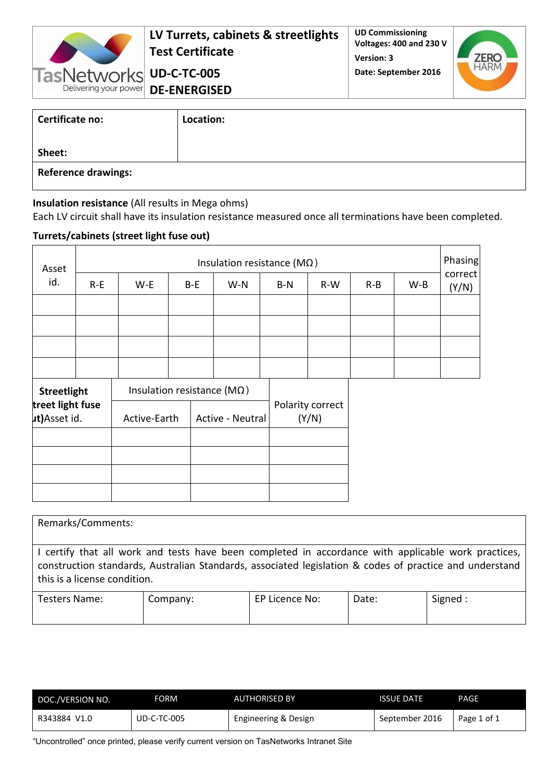

**LV Turrets, cabinets & streetlights Test Certificate**

**UD Commissioning Voltages: 400 and 230 V Version: 3 Date: September 2016**



**UD-C-TC-005 DE-ENERGISED**

| Certificate no:            | Location: |
|----------------------------|-----------|
| Sheet:                     |           |
| <b>Reference drawings:</b> |           |

### **Insulation resistance** (All results in Mega ohms)

Each LV circuit shall have its insulation resistance measured once all terminations have been completed.

### **Turrets/cabinets (street light fuse out)**

| Asset                             |                    | Insulation resistance ( $M\Omega$ ) |                                     |                  |     |  |                           |       |       |       |                  |
|-----------------------------------|--------------------|-------------------------------------|-------------------------------------|------------------|-----|--|---------------------------|-------|-------|-------|------------------|
| id.                               | $R-E$              | W-E                                 |                                     | B-E              | W-N |  | $B-N$                     | $R-W$ | $R-B$ | $W-B$ | correct<br>(Y/N) |
|                                   |                    |                                     |                                     |                  |     |  |                           |       |       |       |                  |
|                                   |                    |                                     |                                     |                  |     |  |                           |       |       |       |                  |
|                                   |                    |                                     |                                     |                  |     |  |                           |       |       |       |                  |
|                                   |                    |                                     |                                     |                  |     |  |                           |       |       |       |                  |
|                                   | <b>Streetlight</b> |                                     | Insulation resistance ( $M\Omega$ ) |                  |     |  |                           |       |       |       |                  |
| treet light fuse<br>ut) Asset id. |                    | Active-Earth                        |                                     | Active - Neutral |     |  | Polarity correct<br>(Y/N) |       |       |       |                  |
|                                   |                    |                                     |                                     |                  |     |  |                           |       |       |       |                  |
|                                   |                    |                                     |                                     |                  |     |  |                           |       |       |       |                  |
|                                   |                    |                                     |                                     |                  |     |  |                           |       |       |       |                  |
|                                   |                    |                                     |                                     |                  |     |  |                           |       |       |       |                  |

| Remarks/Comments:                                                                                                                                                                                                                              |          |                |       |          |
|------------------------------------------------------------------------------------------------------------------------------------------------------------------------------------------------------------------------------------------------|----------|----------------|-------|----------|
| I certify that all work and tests have been completed in accordance with applicable work practices,<br>construction standards, Australian Standards, associated legislation & codes of practice and understand<br>this is a license condition. |          |                |       |          |
| Testers Name:                                                                                                                                                                                                                                  | Company: | EP Licence No: | Date: | Signed : |

| DOC./VERSION NO. | FORM               | <b>AUTHORISED BY</b> | <b>ISSUE DATE</b> | PAGF        |
|------------------|--------------------|----------------------|-------------------|-------------|
| V1.0<br>R343884  | <b>UD-C-TC-005</b> | Engineering & Design | September 2016    | Page 1 of 1 |